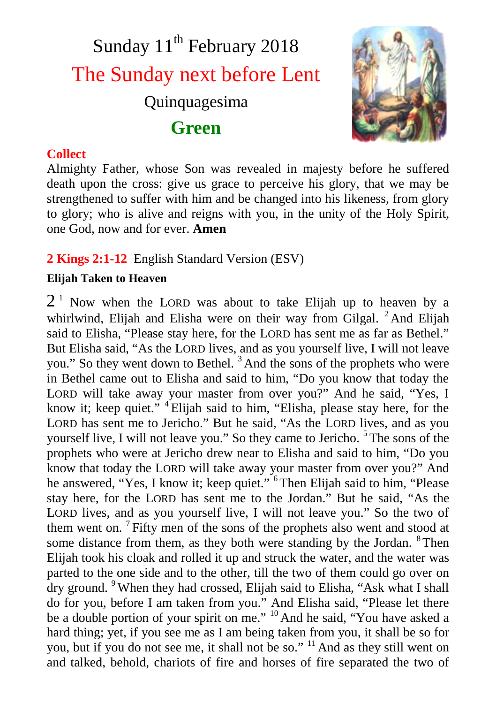# Sunday 11<sup>th</sup> February 2018 The Sunday next before Lent Quinquagesima **Green**



#### **Collect**

Almighty Father, whose Son was revealed in majesty before he suffered death upon the cross: give us grace to perceive his glory, that we may be strengthened to suffer with him and be changed into his likeness, from glory to glory; who is alive and reigns with you, in the unity of the Holy Spirit, one God, now and for ever. **Amen**

### **2 Kings 2:1-12** English Standard Version (ESV)

#### **Elijah Taken to Heaven**

 $2<sup>1</sup>$  Now when the LORD was about to take Elijah up to heaven by a whirlwind, Elijah and Elisha were on their way from Gilgal.  ${}^{2}$ And Elijah said to Elisha, "Please stay here, for the LORD has sent me as far as Bethel." But Elisha said, "As the LORD lives, and as you yourself live, I will not leave you." So they went down to Bethel. <sup>3</sup> And the sons of the prophets who were in Bethel came out to Elisha and said to him, "Do you know that today the LORD will take away your master from over you?" And he said, "Yes, I know it; keep quiet."  $4$  Elijah said to him, "Elisha, please stay here, for the LORD has sent me to Jericho." But he said, "As the LORD lives, and as you yourself live, I will not leave you." So they came to Jericho. <sup>5</sup> The sons of the prophets who were at Jericho drew near to Elisha and said to him, "Do you know that today the LORD will take away your master from over you?" And he answered, "Yes, I know it; keep quiet." <sup>6</sup>Then Elijah said to him, "Please stay here, for the LORD has sent me to the Jordan." But he said, "As the LORD lives, and as you yourself live, I will not leave you." So the two of them went on.<sup>7</sup> Fifty men of the sons of the prophets also went and stood at some distance from them, as they both were standing by the Jordan. <sup>8</sup>Then Elijah took his cloak and rolled it up and struck the water, and the water was parted to the one side and to the other, till the two of them could go over on dry ground. <sup>9</sup>When they had crossed, Elijah said to Elisha, "Ask what I shall do for you, before I am taken from you." And Elisha said, "Please let there be a double portion of your spirit on me." <sup>10</sup> And he said, "You have asked a hard thing; yet, if you see me as I am being taken from you, it shall be so for you, but if you do not see me, it shall not be so." <sup>11</sup> And as they still went on and talked, behold, chariots of fire and horses of fire separated the two of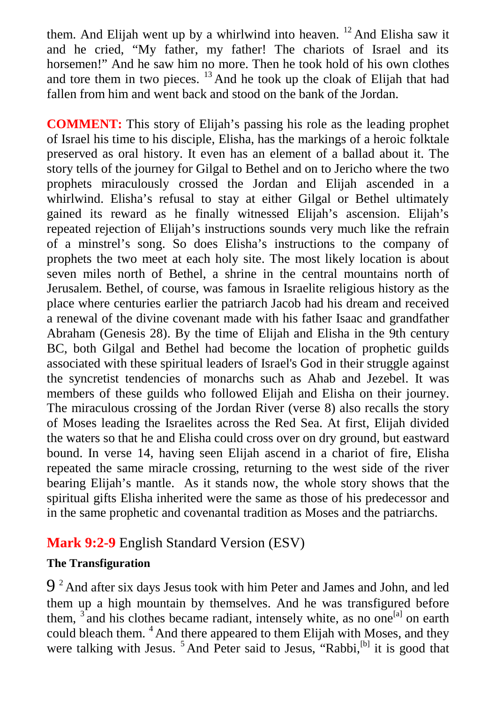them. And Elijah went up by a whirlwind into heaven. <sup>12</sup> And Elisha saw it and he cried, "My father, my father! The chariots of Israel and its horsemen!" And he saw him no more. Then he took hold of his own clothes and tore them in two pieces. <sup>13</sup> And he took up the cloak of Elijah that had fallen from him and went back and stood on the bank of the Jordan.

**COMMENT:** This story of Elijah's passing his role as the leading prophet of Israel his time to his disciple, Elisha, has the markings of a heroic folktale preserved as oral history. It even has an element of a ballad about it. The story tells of the journey for Gilgal to Bethel and on to Jericho where the two prophets miraculously crossed the Jordan and Elijah ascended in a whirlwind. Elisha's refusal to stay at either Gilgal or Bethel ultimately gained its reward as he finally witnessed Elijah's ascension. Elijah's repeated rejection of Elijah's instructions sounds very much like the refrain of a minstrel's song. So does Elisha's instructions to the company of prophets the two meet at each holy site. The most likely location is about seven miles north of Bethel, a shrine in the central mountains north of Jerusalem. Bethel, of course, was famous in Israelite religious history as the place where centuries earlier the patriarch Jacob had his dream and received a renewal of the divine covenant made with his father Isaac and grandfather Abraham (Genesis 28). By the time of Elijah and Elisha in the 9th century BC, both Gilgal and Bethel had become the location of prophetic guilds associated with these spiritual leaders of Israel's God in their struggle against the syncretist tendencies of monarchs such as Ahab and Jezebel. It was members of these guilds who followed Elijah and Elisha on their journey. The miraculous crossing of the Jordan River (verse 8) also recalls the story of Moses leading the Israelites across the Red Sea. At first, Elijah divided the waters so that he and Elisha could cross over on dry ground, but eastward bound. In verse 14, having seen Elijah ascend in a chariot of fire, Elisha repeated the same miracle crossing, returning to the west side of the river bearing Elijah's mantle. As it stands now, the whole story shows that the spiritual gifts Elisha inherited were the same as those of his predecessor and in the same prophetic and covenantal tradition as Moses and the patriarchs.

## **Mark 9:2-9** English Standard Version (ESV)

#### **The Transfiguration**

 $9<sup>2</sup>$  And after six days Jesus took with him Peter and James and John, and led them up a high mountain by themselves. And he was transfigured before them,  $3$  and his clothes became radiant, intensely white, as no one<sup>[a]</sup> on earth could bleach them. <sup>4</sup> And there appeared to them Elijah with Moses, and they were talking with Jesus. <sup>5</sup> And Peter said to Jesus, "Rabbi, <sup>[b]</sup> it is good that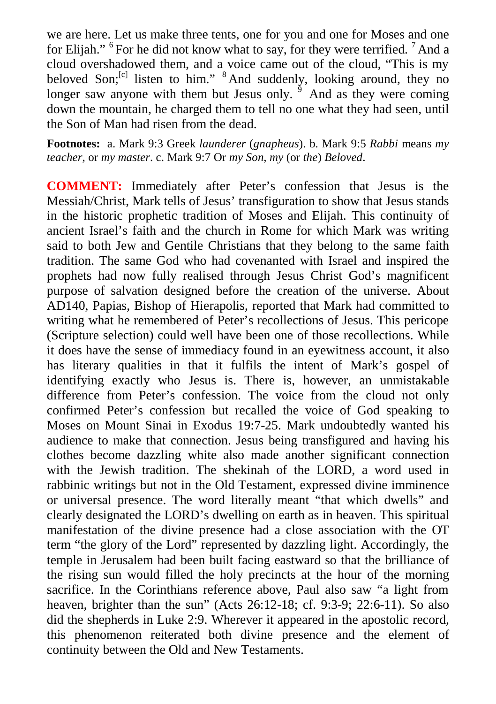we are here. Let us make three tents, one for you and one for Moses and one for Elijah." <sup>6</sup> For he did not know what to say, for they were terrified. <sup>7</sup> And a cloud overshadowed them, and a voice came out of the cloud, "This is my beloved Son;<sup>[c]</sup> listen to him." <sup>8</sup> And suddenly, looking around, they no longer saw anyone with them but Jesus only. <sup>9</sup> And as they were coming down the mountain, he charged them to tell no one what they had seen, until the Son of Man had risen from the dead.

**Footnotes:** a. Mark 9:3 Greek *launderer* (*gnapheus*). b. Mark 9:5 *Rabbi* means *my teacher*, or *my master*. c. Mark 9:7 Or *my Son, my* (or *the*) *Beloved*.

**COMMENT:** Immediately after Peter's confession that Jesus is the Messiah/Christ, Mark tells of Jesus' transfiguration to show that Jesus stands in the historic prophetic tradition of Moses and Elijah. This continuity of ancient Israel's faith and the church in Rome for which Mark was writing said to both Jew and Gentile Christians that they belong to the same faith tradition. The same God who had covenanted with Israel and inspired the prophets had now fully realised through Jesus Christ God's magnificent purpose of salvation designed before the creation of the universe. About AD140, Papias, Bishop of Hierapolis, reported that Mark had committed to writing what he remembered of Peter's recollections of Jesus. This pericope (Scripture selection) could well have been one of those recollections. While it does have the sense of immediacy found in an eyewitness account, it also has literary qualities in that it fulfils the intent of Mark's gospel of identifying exactly who Jesus is. There is, however, an unmistakable difference from Peter's confession. The voice from the cloud not only confirmed Peter's confession but recalled the voice of God speaking to Moses on Mount Sinai in Exodus 19:7-25. Mark undoubtedly wanted his audience to make that connection. Jesus being transfigured and having his clothes become dazzling white also made another significant connection with the Jewish tradition. The shekinah of the LORD, a word used in rabbinic writings but not in the Old Testament, expressed divine imminence or universal presence. The word literally meant "that which dwells" and clearly designated the LORD's dwelling on earth as in heaven. This spiritual manifestation of the divine presence had a close association with the OT term "the glory of the Lord" represented by dazzling light. Accordingly, the temple in Jerusalem had been built facing eastward so that the brilliance of the rising sun would filled the holy precincts at the hour of the morning sacrifice. In the Corinthians reference above, Paul also saw "a light from heaven, brighter than the sun" (Acts 26:12-18; cf. 9:3-9; 22:6-11). So also did the shepherds in Luke 2:9. Wherever it appeared in the apostolic record, this phenomenon reiterated both divine presence and the element of continuity between the Old and New Testaments.